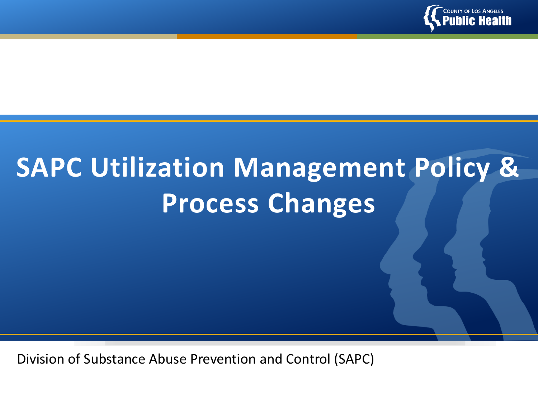

# **SAPC Utilization Management Policy & Process Changes**

Division of Substance Abuse Prevention and Control (SAPC)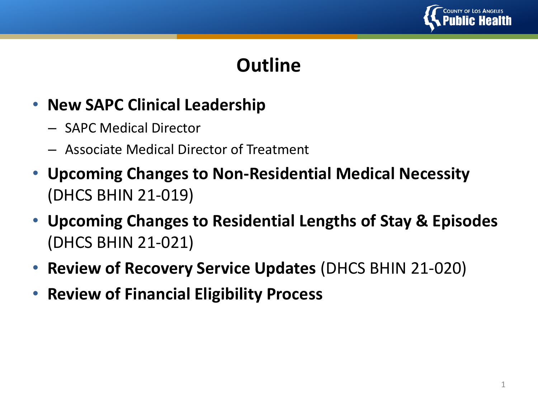

## **Outline**

#### • **New SAPC Clinical Leadership**

- SAPC Medical Director
- Associate Medical Director of Treatment
- **Upcoming Changes to Non-Residential Medical Necessity** (DHCS BHIN 21-019)
- **Upcoming Changes to Residential Lengths of Stay & Episodes**  (DHCS BHIN 21-021)
- **Review of Recovery Service Updates** (DHCS BHIN 21-020)
- **Review of Financial Eligibility Process**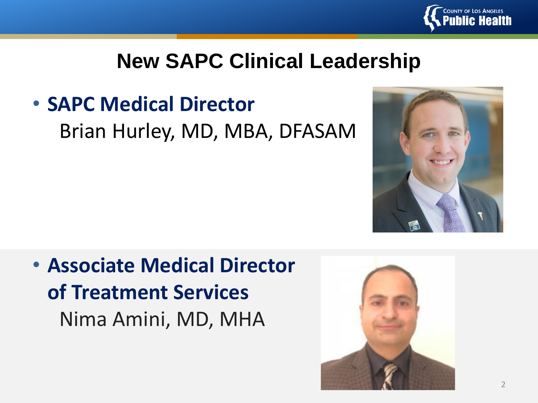

# **New SAPC Clinical Leadership**

• **SAPC Medical Director**

Brian Hurley, MD, MBA, DFASAM



• **Associate Medical Director of Treatment Services**  Nima Amini, MD, MHA

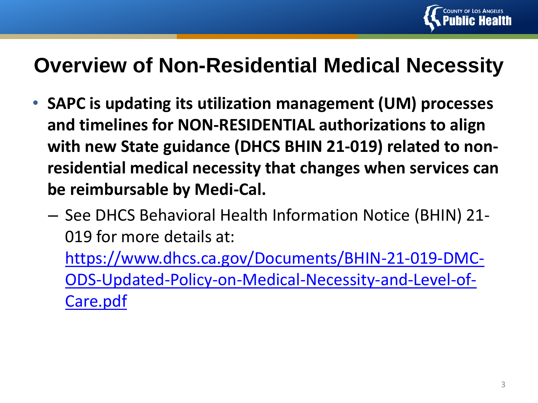

# **Overview of Non-Residential Medical Necessity**

- **SAPC is updating its utilization management (UM) processes and timelines for NON-RESIDENTIAL authorizations to align with new State guidance (DHCS BHIN 21-019) related to nonresidential medical necessity that changes when services can be reimbursable by Medi-Cal.**
	- See DHCS Behavioral Health Information Notice (BHIN) 21- 019 for more details at:
		- https://www.dhcs.ca.gov/Documents/BHIN-21-019-DMC-[ODS-Updated-Policy-on-Medical-Necessity-and-Level-of-](https://www.dhcs.ca.gov/Documents/BHIN-21-019-DMC-ODS-Updated-Policy-on-Medical-Necessity-and-Level-of-Care.pdf)Care.pdf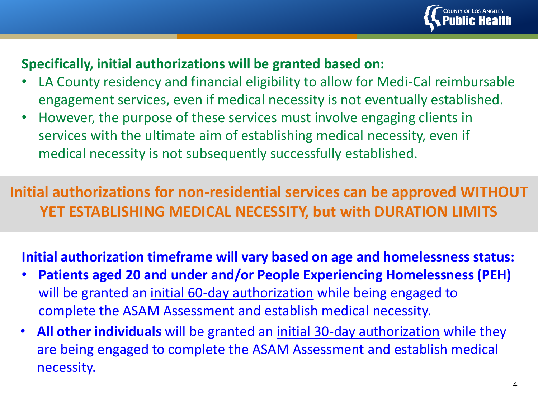

#### **Specifically, initial authorizations will be granted based on:**

- LA County residency and financial eligibility to allow for Medi-Cal reimbursable engagement services, even if medical necessity is not eventually established.
- However, the purpose of these services must involve engaging clients in services with the ultimate aim of establishing medical necessity, even if medical necessity is not subsequently successfully established.

**Initial authorizations for non-residential services can be approved WITHOUT YET ESTABLISHING MEDICAL NECESSITY, but with DURATION LIMITS**

#### **Initial authorization timeframe will vary based on age and homelessness status:**

- **Patients aged 20 and under and/or People Experiencing Homelessness (PEH)** will be granted an initial 60-day authorization while being engaged to complete the ASAM Assessment and establish medical necessity.
- **All other individuals** will be granted an initial 30-day authorization while they are being engaged to complete the ASAM Assessment and establish medical necessity.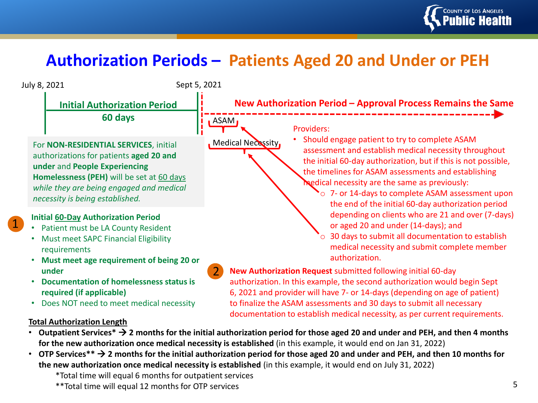

#### **Authorization Periods – Patients Aged 20 and Under or PEH**



\*Total time will equal 6 months for outpatient services

<sup>\*\*</sup>Total time will equal 12 months for OTP services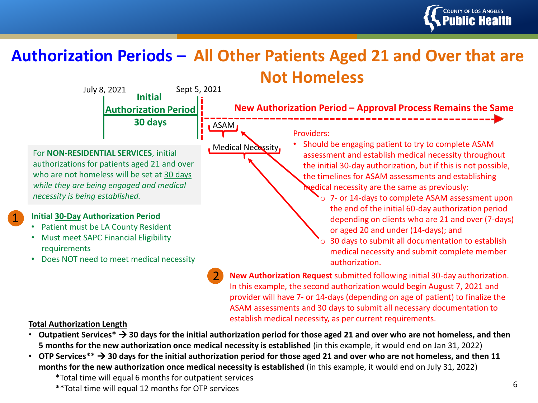

#### **Authorization Periods – All Other Patients Aged 21 and Over that are Not Homeless**

ASAM

**Initial Authorization Period 30 days** July 8, 2021 Sept 5, 2021

For **NON-RESIDENTIAL SERVICES**, initial authorizations for patients aged 21 and over who are not homeless will be set at 30 days *while they are being engaged and medical necessity is being established.*

#### **Initial 30-Day Authorization Period**

1

- Patient must be LA County Resident
- Must meet SAPC Financial Eligibility requirements
- Does NOT need to meet medical necessity

**New Authorization Period – Approval Process Remains the Same**

Providers:

**Medical Necessity** 

• Should be engaging patient to try to complete ASAM assessment and establish medical necessity throughout the initial 30-day authorization, but if this is not possible, the timelines for ASAM assessments and establishing medical necessity are the same as previously:

> $\sim$  0 7- or 14-days to complete ASAM assessment upon the end of the initial 60-day authorization period depending on clients who are 21 and over (7-days) or aged 20 and under (14-days); and

30 days to submit all documentation to establish medical necessity and submit complete member authorization.

2 **New Authorization Request** submitted following initial 30-day authorization. In this example, the second authorization would begin August 7, 2021 and provider will have 7- or 14-days (depending on age of patient) to finalize the ASAM assessments and 30 days to submit all necessary documentation to establish medical necessity, as per current requirements.

#### **Total Authorization Length**

- **Outpatient Services\*** → **30 days for the initial authorization period for those aged 21 and over who are not homeless, and then 5 months for the new authorization once medical necessity is established** (in this example, it would end on Jan 31, 2022)
- **OTP Services\*\*** → **30 days for the initial authorization period for those aged 21 and over who are not homeless, and then 11 months for the new authorization once medical necessity is established** (in this example, it would end on July 31, 2022)

\*Total time will equal 6 months for outpatient services

\*\*Total time will equal 12 months for OTP services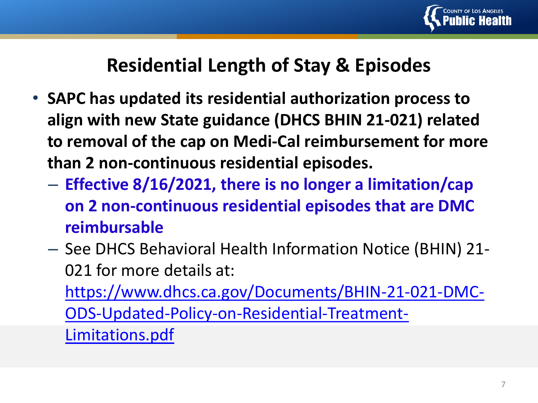

### **Residential Length of Stay & Episodes**

- **SAPC has updated its residential authorization process to align with new State guidance (DHCS BHIN 21-021) related to removal of the cap on Medi-Cal reimbursement for more than 2 non-continuous residential episodes.**
	- **Effective 8/16/2021, there is no longer a limitation/cap on 2 non-continuous residential episodes that are DMC reimbursable**
	- See DHCS Behavioral Health Information Notice (BHIN) 21- 021 for more details at:

[https://www.dhcs.ca.gov/Documents/BHIN-21-021-DMC-](https://www.dhcs.ca.gov/Documents/BHIN-21-021-DMC-ODS-Updated-Policy-on-Residential-Treatment-Limitations.pdf)

ODS-Updated-Policy-on-Residential-Treatment-

Limitations.pdf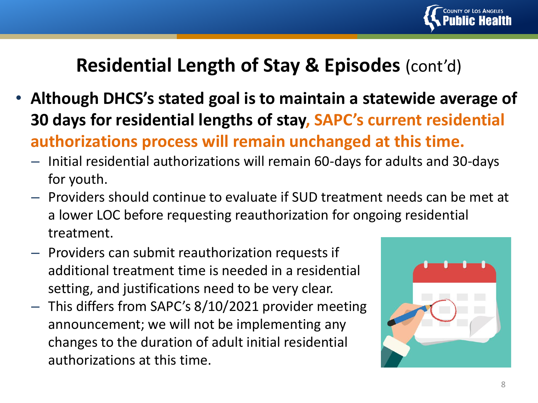

### **Residential Length of Stay & Episodes** (cont'd)

- **Although DHCS's stated goal is to maintain a statewide average of 30 days for residential lengths of stay, SAPC's current residential authorizations process will remain unchanged at this time.**
	- Initial residential authorizations will remain 60-days for adults and 30-days for youth.
	- Providers should continue to evaluate if SUD treatment needs can be met at a lower LOC before requesting reauthorization for ongoing residential treatment.
	- Providers can submit reauthorization requests if additional treatment time is needed in a residential setting, and justifications need to be very clear.
	- This differs from SAPC's 8/10/2021 provider meeting announcement; we will not be implementing any changes to the duration of adult initial residential authorizations at this time.

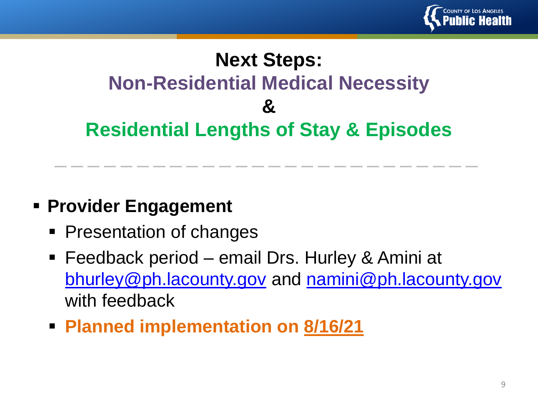

# **Next Steps: Non-Residential Medical Necessity & Residential Lengths of Stay & Episodes**

#### ▪ **Provider Engagement**

- Presentation of changes
- Feedback period email Drs. Hurley & Amini at [bhurley@ph.lacounty.gov](mailto:bhurley@ph.lacounty.gov) and [namini@ph.lacounty.gov](mailto:namini@ph.lacounty.gov) with feedback
- **Planned implementation on 8/16/21**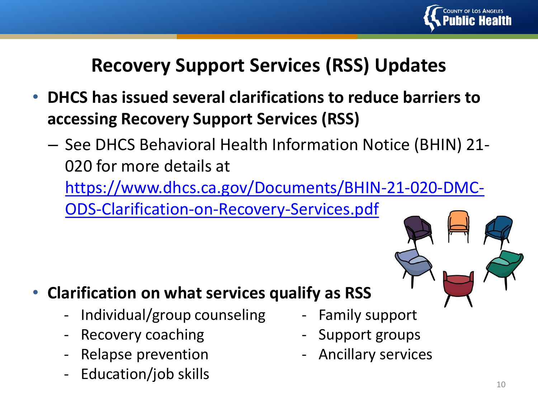

## **Recovery Support Services (RSS) Updates**

- **DHCS has issued several clarifications to reduce barriers to accessing Recovery Support Services (RSS)**
	- See DHCS Behavioral Health Information Notice (BHIN) 21- 020 for more details at

[https://www.dhcs.ca.gov/Documents/BHIN-21-020-DMC-](https://www.dhcs.ca.gov/Documents/BHIN-21-020-DMC-ODS-Clarification-on-Recovery-Services.pdf)

ODS-Clarification-on-Recovery-Services.pdf

#### • **Clarification on what services qualify as RSS**

- Individual/group counseling
- Recovery coaching
- Relapse prevention
- Education/job skills
- Family support
- Support groups
- Ancillary services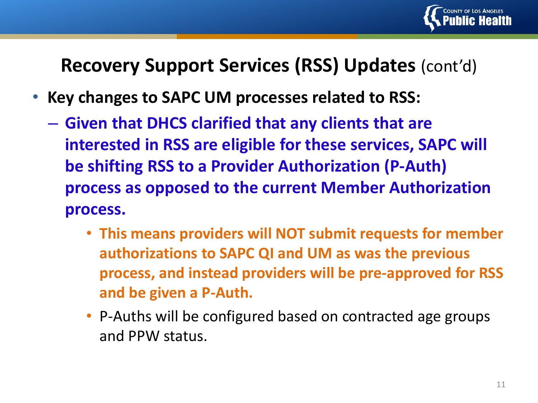

#### **Recovery Support Services (RSS) Updates** (cont'd)

- **Key changes to SAPC UM processes related to RSS:**
	- **Given that DHCS clarified that any clients that are interested in RSS are eligible for these services, SAPC will be shifting RSS to a Provider Authorization (P-Auth) process as opposed to the current Member Authorization process.**
		- **This means providers will NOT submit requests for member authorizations to SAPC QI and UM as was the previous process, and instead providers will be pre-approved for RSS and be given a P-Auth.**
		- P-Auths will be configured based on contracted age groups and PPW status.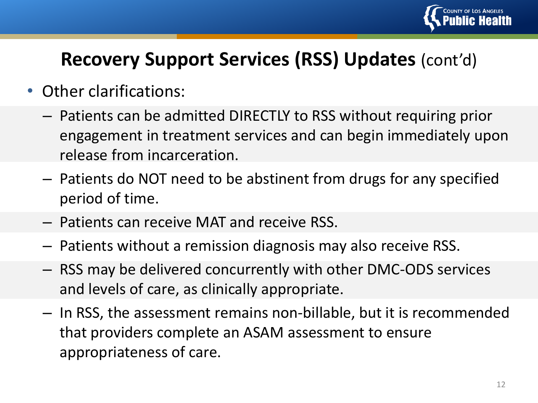

## **Recovery Support Services (RSS) Updates** (cont'd)

- Other clarifications:
	- Patients can be admitted DIRECTLY to RSS without requiring prior engagement in treatment services and can begin immediately upon release from incarceration.
	- Patients do NOT need to be abstinent from drugs for any specified period of time.
	- Patients can receive MAT and receive RSS.
	- Patients without a remission diagnosis may also receive RSS.
	- RSS may be delivered concurrently with other DMC-ODS services and levels of care, as clinically appropriate.
	- In RSS, the assessment remains non-billable, but it is recommended that providers complete an ASAM assessment to ensure appropriateness of care.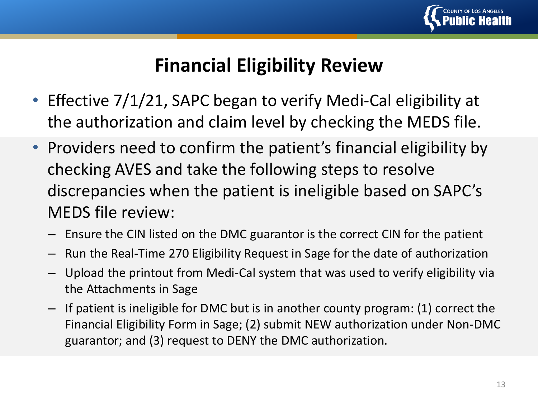

#### **Financial Eligibility Review**

- Effective 7/1/21, SAPC began to verify Medi-Cal eligibility at the authorization and claim level by checking the MEDS file.
- Providers need to confirm the patient's financial eligibility by checking AVES and take the following steps to resolve discrepancies when the patient is ineligible based on SAPC's MEDS file review:
	- Ensure the CIN listed on the DMC guarantor is the correct CIN for the patient
	- Run the Real-Time 270 Eligibility Request in Sage for the date of authorization
	- Upload the printout from Medi-Cal system that was used to verify eligibility via the Attachments in Sage
	- If patient is ineligible for DMC but is in another county program: (1) correct the Financial Eligibility Form in Sage; (2) submit NEW authorization under Non-DMC guarantor; and (3) request to DENY the DMC authorization.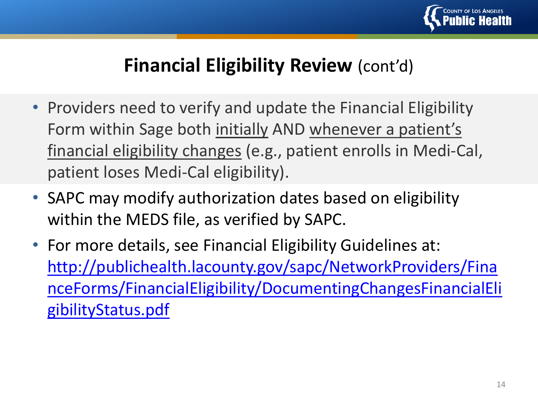

#### **Financial Eligibility Review** (cont'd)

- Providers need to verify and update the Financial Eligibility Form within Sage both initially AND whenever a patient's financial eligibility changes (e.g., patient enrolls in Medi-Cal, patient loses Medi-Cal eligibility).
- SAPC may modify authorization dates based on eligibility within the MEDS file, as verified by SAPC.
- For more details, see Financial Eligibility Guidelines at: http://publichealth.lacounty.gov/sapc/NetworkProviders/Fina [nceForms/FinancialEligibility/DocumentingChangesFinancialEli](http://publichealth.lacounty.gov/sapc/NetworkProviders/FinanceForms/FinancialEligibility/DocumentingChangesFinancialEligibilityStatus.pdf) gibilityStatus.pdf